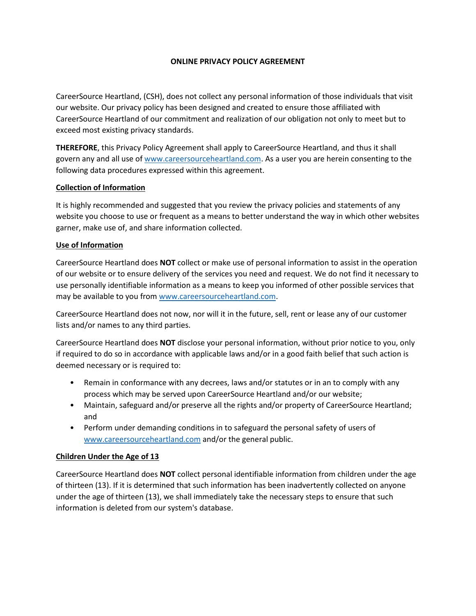# **ONLINE PRIVACY POLICY AGREEMENT**

CareerSource Heartland, (CSH), does not collect any personal information of those individuals that visit our website. Our privacy policy has been designed and created to ensure those affiliated with CareerSource Heartland of our commitment and realization of our obligation not only to meet but to exceed most existing privacy standards.

**THEREFORE**, this Privacy Policy Agreement shall apply to CareerSource Heartland, and thus it shall govern any and all use of [www.careersourceheartland.com.](http://www.careersourceheartland.com/) As a user you are herein consenting to the following data procedures expressed within this agreement.

# **Collection of Information**

It is highly recommended and suggested that you review the privacy policies and statements of any website you choose to use or frequent as a means to better understand the way in which other websites garner, make use of, and share information collected.

# **Use of Information**

CareerSource Heartland does **NOT** collect or make use of personal information to assist in the operation of our website or to ensure delivery of the services you need and request. We do not find it necessary to use personally identifiable information as a means to keep you informed of other possible services that may be available to you fro[m www.careersourceheartland.com.](http://www.careersourceheartland.com/)

CareerSource Heartland does not now, nor will it in the future, sell, rent or lease any of our customer lists and/or names to any third parties.

CareerSource Heartland does **NOT** disclose your personal information, without prior notice to you, only if required to do so in accordance with applicable laws and/or in a good faith belief that such action is deemed necessary or is required to:

- Remain in conformance with any decrees, laws and/or statutes or in an to comply with any process which may be served upon CareerSource Heartland and/or our website;
- Maintain, safeguard and/or preserve all the rights and/or property of CareerSource Heartland; and
- Perform under demanding conditions in to safeguard the personal safety of users of [www.careersourceheartland.com](http://www.careersourceheartland.com/) and/or the general public.

# **Children Under the Age of 13**

CareerSource Heartland does **NOT** collect personal identifiable information from children under the age of thirteen (13). If it is determined that such information has been inadvertently collected on anyone under the age of thirteen (13), we shall immediately take the necessary steps to ensure that such information is deleted from our system's database.